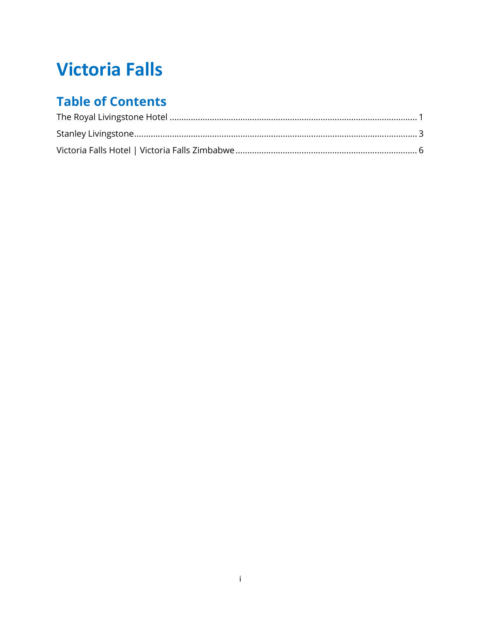# **Victoria Falls**

# **Table of Contents**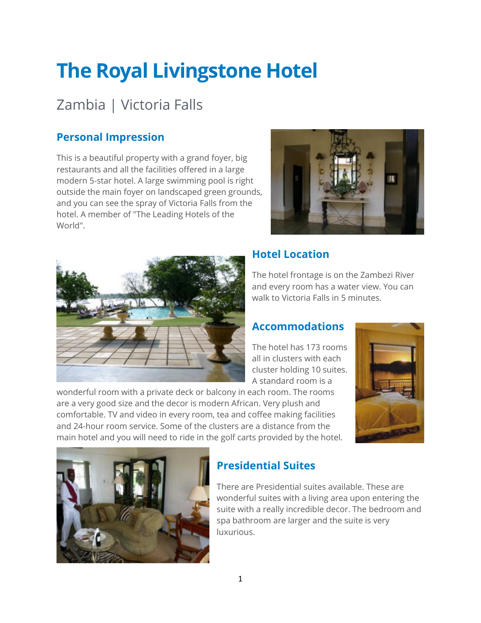# <span id="page-1-0"></span>**The Royal Livingstone Hotel**

# Zambia | Victoria Falls

### **Personal Impression**

This is a beautiful property with a grand foyer, big restaurants and all the facilities offered in a large modern 5-star hotel. A large swimming pool is right outside the main foyer on landscaped green grounds, and you can see the spray of Victoria Falls from the hotel. A member of "The Leading Hotels of the World".





#### **Hotel Location**

The hotel frontage is on the Zambezi River and every room has a water view. You can walk to Victoria Falls in 5 minutes.

#### **Accommodations**

The hotel has 173 rooms all in clusters with each cluster holding 10 suites. A standard room is a

wonderful room with a private deck or balcony in each room. The rooms are a very good size and the decor is modern African. Very plush and comfortable. TV and video in every room, tea and coffee making facilities and 24-hour room service. Some of the clusters are a distance from the main hotel and you will need to ride in the golf carts provided by the hotel.





#### **Presidential Suites**

There are Presidential suites available. These are wonderful suites with a living area upon entering the suite with a really incredible decor. The bedroom and spa bathroom are larger and the suite is very luxurious.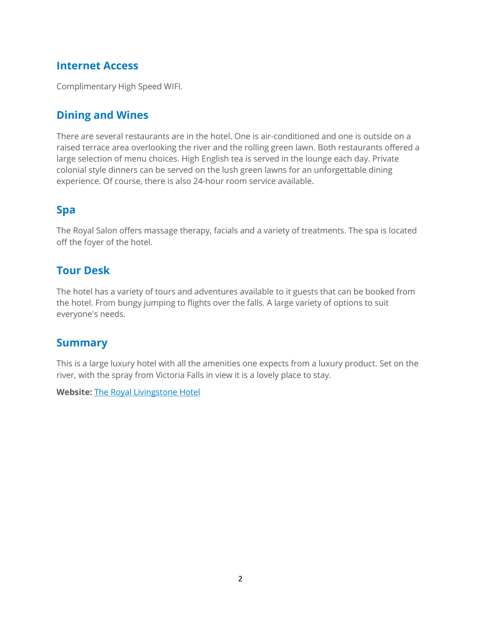#### **Internet Access**

Complimentary High Speed WIFI.

#### **Dining and Wines**

There are several restaurants are in the hotel. One is air-conditioned and one is outside on a raised terrace area overlooking the river and the rolling green lawn. Both restaurants offered a large selection of menu choices. High English tea is served in the lounge each day. Private colonial style dinners can be served on the lush green lawns for an unforgettable dining experience. Of course, there is also 24-hour room service available.

#### **Spa**

The Royal Salon offers massage therapy, facials and a variety of treatments. The spa is located off the foyer of the hotel.

#### **Tour Desk**

The hotel has a variety of tours and adventures available to it guests that can be booked from the hotel. From bungy jumping to flights over the falls. A large variety of options to suit everyone's needs.

#### **Summary**

This is a large luxury hotel with all the amenities one expects from a luxury product. Set on the river, with the spray from Victoria Falls in view it is a lovely place to stay.

**Website:** [The Royal Livingstone Hotel](https://www.anantara.com/en/royal-livingstone?utm_source=GoogleMyBusiness&utm_medium=GMB&utm_term=RoyalLivingstone&utm_content=Home&utm_campaign=Google_GMB)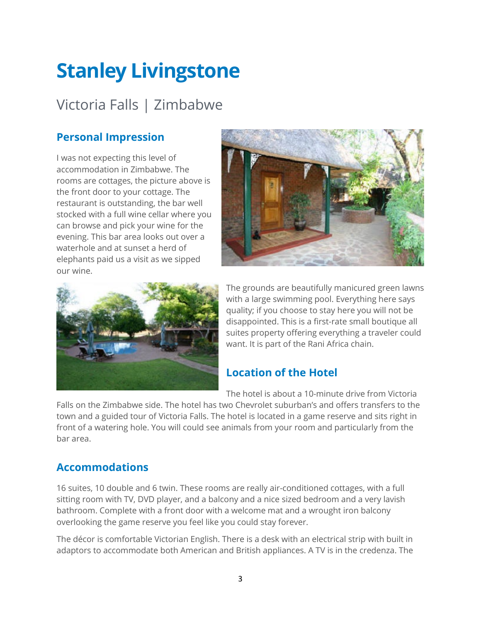# <span id="page-3-0"></span>**Stanley Livingstone**

# Victoria Falls | Zimbabwe

### **Personal Impression**

I was not expecting this level of accommodation in Zimbabwe. The rooms are cottages, the picture above is the front door to your cottage. The restaurant is outstanding, the bar well stocked with a full wine cellar where you can browse and pick your wine for the evening. This bar area looks out over a waterhole and at sunset a herd of elephants paid us a visit as we sipped our wine.





The grounds are beautifully manicured green lawns with a large swimming pool. Everything here says quality; if you choose to stay here you will not be disappointed. This is a first-rate small boutique all suites property offering everything a traveler could want. It is part of the Rani Africa chain.

#### **Location of the Hotel**

The hotel is about a 10-minute drive from Victoria

Falls on the Zimbabwe side. The hotel has two Chevrolet suburban's and offers transfers to the town and a guided tour of Victoria Falls. The hotel is located in a game reserve and sits right in front of a watering hole. You will could see animals from your room and particularly from the bar area.

#### **Accommodations**

16 suites, 10 double and 6 twin. These rooms are really air-conditioned cottages, with a full sitting room with TV, DVD player, and a balcony and a nice sized bedroom and a very lavish bathroom. Complete with a front door with a welcome mat and a wrought iron balcony overlooking the game reserve you feel like you could stay forever.

The décor is comfortable Victorian English. There is a desk with an electrical strip with built in adaptors to accommodate both American and British appliances. A TV is in the credenza. The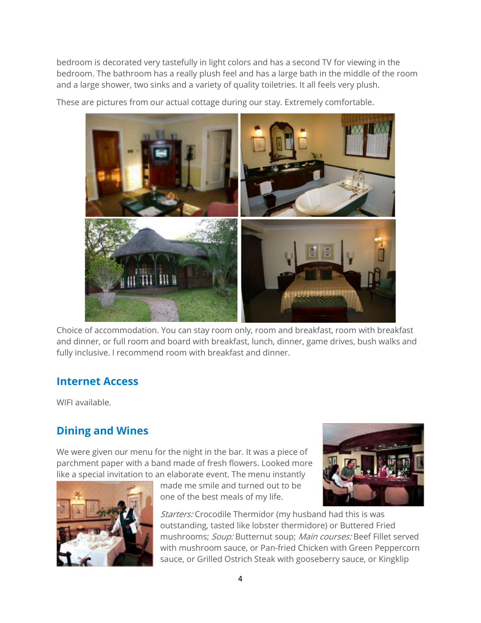bedroom is decorated very tastefully in light colors and has a second TV for viewing in the bedroom. The bathroom has a really plush feel and has a large bath in the middle of the room and a large shower, two sinks and a variety of quality toiletries. It all feels very plush.

These are pictures from our actual cottage during our stay. Extremely comfortable.



Choice of accommodation. You can stay room only, room and breakfast, room with breakfast and dinner, or full room and board with breakfast, lunch, dinner, game drives, bush walks and fully inclusive. I recommend room with breakfast and dinner.

#### **Internet Access**

WIFI available.

## **Dining and Wines**

We were given our menu for the night in the bar. It was a piece of parchment paper with a band made of fresh flowers. Looked more like a special invitation to an elaborate event. The menu instantly



made me smile and turned out to be one of the best meals of my life.



Starters: Crocodile Thermidor (my husband had this is was outstanding, tasted like lobster thermidore) or Buttered Fried mushrooms; Soup: Butternut soup; Main courses: Beef Fillet served with mushroom sauce, or Pan-fried Chicken with Green Peppercorn sauce, or Grilled Ostrich Steak with gooseberry sauce, or Kingklip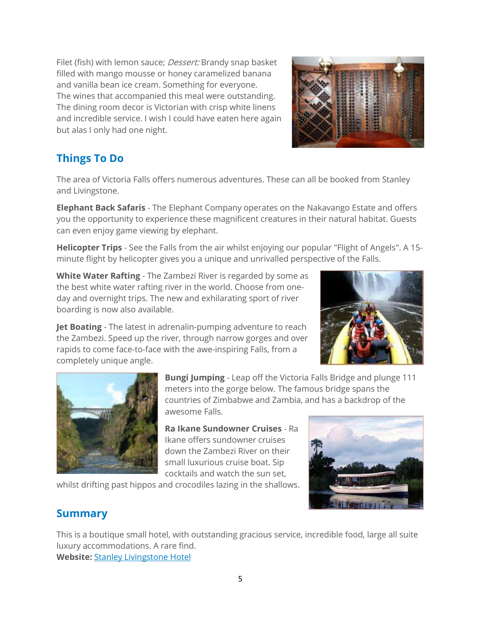Filet (fish) with lemon sauce; *Dessert:* Brandy snap basket filled with mango mousse or honey caramelized banana and vanilla bean ice cream. Something for everyone. The wines that accompanied this meal were outstanding. The dining room decor is Victorian with crisp white linens and incredible service. I wish I could have eaten here again but alas I only had one night.

## **Things To Do**

The area of Victoria Falls offers numerous adventures. These can all be booked from Stanley and Livingstone.

**Elephant Back Safaris** - The Elephant Company operates on the Nakavango Estate and offers you the opportunity to experience these magnificent creatures in their natural habitat. Guests can even enjoy game viewing by elephant.

**Helicopter Trips** - See the Falls from the air whilst enjoying our popular "Flight of Angels". A 15 minute flight by helicopter gives you a unique and unrivalled perspective of the Falls.

**White Water Rafting** - The Zambezi River is regarded by some as the best white water rafting river in the world. Choose from oneday and overnight trips. The new and exhilarating sport of river boarding is now also available.

**Jet Boating** - The latest in adrenalin-pumping adventure to reach the Zambezi. Speed up the river, through narrow gorges and over rapids to come face-to-face with the awe-inspiring Falls, from a completely unique angle.





**Bungi Jumping** - Leap off the Victoria Falls Bridge and plunge 111 meters into the gorge below. The famous bridge spans the countries of Zimbabwe and Zambia, and has a backdrop of the awesome Falls.

**Ra Ikane Sundowner Cruises** - Ra Ikane offers sundowner cruises down the Zambezi River on their small luxurious cruise boat. Sip cocktails and watch the sun set,

whilst drifting past hippos and crocodiles lazing in the shallows.



#### **Summary**

This is a boutique small hotel, with outstanding gracious service, incredible food, large all suite luxury accommodations. A rare find. **Website:** [Stanley Livingstone Hotel](https://www.more.co.za/stanleyandlivingstone/)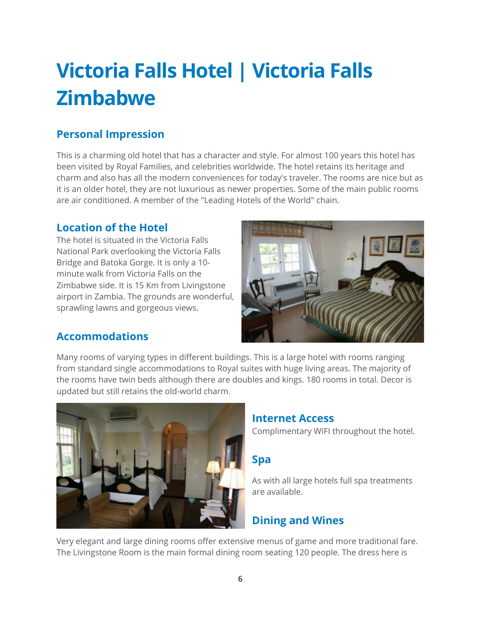# <span id="page-6-0"></span>**Victoria Falls Hotel | Victoria Falls Zimbabwe**

#### **Personal Impression**

This is a charming old hotel that has a character and style. For almost 100 years this hotel has been visited by Royal Families, and celebrities worldwide. The hotel retains its heritage and charm and also has all the modern conveniences for today's traveler. The rooms are nice but as it is an older hotel, they are not luxurious as newer properties. Some of the main public rooms are air conditioned. A member of the "Leading Hotels of the World" chain.

#### **Location of the Hotel**

The hotel is situated in the Victoria Falls National Park overlooking the Victoria Falls Bridge and Batoka Gorge. It is only a 10 minute walk from Victoria Falls on the Zimbabwe side. It is 15 Km from Livingstone airport in Zambia. The grounds are wonderful, sprawling lawns and gorgeous views.



#### **Accommodations**

Many rooms of varying types in different buildings. This is a large hotel with rooms ranging from standard single accommodations to Royal suites with huge living areas. The majority of the rooms have twin beds although there are doubles and kings. 180 rooms in total. Decor is updated but still retains the old-world charm.



#### **Internet Access**

Complimentary WIFI throughout the hotel.

#### **Spa**

As with all large hotels full spa treatments are available.

## **Dining and Wines**

Very elegant and large dining rooms offer extensive menus of game and more traditional fare. The Livingstone Room is the main formal dining room seating 120 people. The dress here is